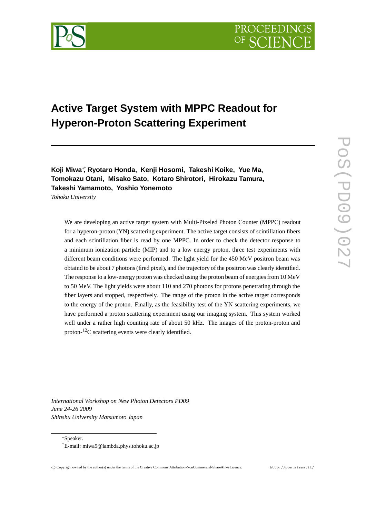

# **Active Target System with MPPC Readout for Hyperon-Proton Scattering Experiment**

**Koji Miwa**∗† **, Ryotaro Honda, Kenji Hosomi, Takeshi Koike, Yue Ma, Tomokazu Otani, Misako Sato, Kotaro Shirotori, Hirokazu Tamura, Takeshi Yamamoto, Yoshio Yonemoto**

*Tohoku University*

We are developing an active target system with Multi-Pixeled Photon Counter (MPPC) readout for a hyperon-proton (YN) scattering experiment. The active target consists of scintillation fibers and each scintillation fiber is read by one MPPC. In order to check the detector response to a minimum ionization particle (MIP) and to a low energy proton, three test experiments with different beam conditions were performed. The light yield for the 450 MeV positron beam was obtaind to be about 7 photons (fired pixel), and the trajectory of the positron was clearly identified. The response to a low-energy proton was checked using the proton beam of energies from 10 MeV to 50 MeV. The light yields were about 110 and 270 photons for protons penetrating through the fiber layers and stopped, respectively. The range of the proton in the active target corresponds to the energy of the proton. Finally, as the feasibility test of the YN scattering experiments, we have performed a proton scattering experiment using our imaging system. This system worked well under a rather high counting rate of about 50 kHz. The images of the proton-proton and proton-12C scattering events were clearly identified.

*International Workshop on New Photon Detectors PD09 June 24-26 2009 Shinshu University Matsumoto Japan*

∗Speaker.

<sup>†</sup>E-mail: miwa9@lambda.phys.tohoku.ac.jp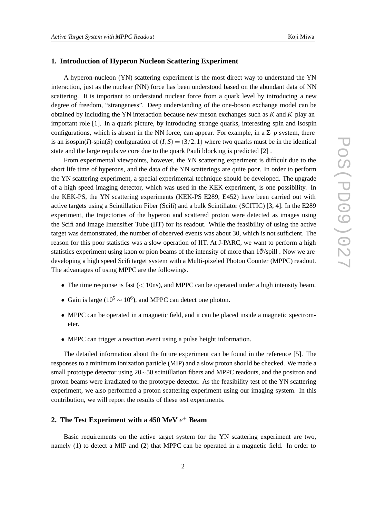## **1. Introduction of Hyperon Nucleon Scattering Experiment**

A hyperon-nucleon (YN) scattering experiment is the most direct way to understand the YN interaction, just as the nuclear (NN) force has been understood based on the abundant data of NN scattering. It is important to understand nuclear force from a quark level by introducing a new degree of freedom, "strangeness". Deep understanding of the one-boson exchange model can be obtained by including the YN interaction because new meson exchanges such as *K* and *K*∗ play an important role [1]. In a quark picture, by introducing strange quarks, interesting spin and isospin configurations, which is absent in the NN force, can appear. For example, in a  $\Sigma^+ p$  system, there is an isospin(*I*)-spin(*S*) configuration of  $(I, S) = (3/2, 1)$  where two quarks must be in the identical state and the large repulsive core due to the quark Pauli blocking is predicted [2] .

From experimental viewpoints, however, the YN scattering experiment is difficult due to the short life time of hyperons, and the data of the YN scatterings are quite poor. In order to perform the YN scattering experiment, a special experimental technique should be developed. The upgrade of a high speed imaging detector, which was used in the KEK experiment, is one possibility. In the KEK-PS, the YN scattering experiments (KEK-PS E289, E452) have been carried out with active targets using a Scintillation Fiber (Scifi) and a bulk Scintillator (SCITIC) [3, 4]. In the E289 experiment, the trajectories of the hyperon and scattered proton were detected as images using the Scifi and Image Intensifier Tube (IIT) for its readout. While the feasibility of using the active target was demonstrated, the number of observed events was about 30, which is not sufficient. The reason for this poor statistics was a slow operation of IIT. At J-PARC, we want to perform a high statistics experiment using kaon or pion beams of the intensity of more than  $10^6$ /spill. Now we are developing a high speed Scifi target system with a Multi-pixeled Photon Counter (MPPC) readout. The advantages of using MPPC are the followings.

- The time response is fast ( $<$  10ns), and MPPC can be operated under a high intensity beam.
- Gain is large ( $10^5 \sim 10^6$ ), and MPPC can detect one photon.
- MPPC can be operated in a magnetic field, and it can be placed inside a magnetic spectrometer.
- MPPC can trigger a reaction event using a pulse height information.

The detailed information about the future experiment can be found in the reference [5]. The responses to a minimum ionization particle (MIP) and a slow proton should be checked. We made a small prototype detector using 20∼50 scintillation fibers and MPPC readouts, and the positron and proton beams were irradiated to the prototype detector. As the feasibility test of the YN scattering experiment, we also performed a proton scattering experiment using our imaging system. In this contribution, we will report the results of these test experiments.

# **2. The Test Experiment with a 450 MeV** *e*<sup>+</sup> **Beam**

Basic requirements on the active target system for the YN scattering experiment are two, namely (1) to detect a MIP and (2) that MPPC can be operated in a magnetic field. In order to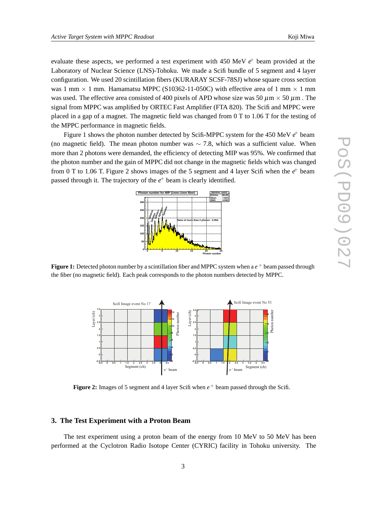evaluate these aspects, we performed a test experiment with 450 MeV  $e^+$  beam provided at the Laboratory of Nuclear Science (LNS)-Tohoku. We made a Scifi bundle of 5 segment and 4 layer configuration. We used 20 scintillation fibers (KURARAY SCSF-78SJ) whose square cross section was 1 mm  $\times$  1 mm. Hamamatsu MPPC (S10362-11-050C) with effective area of 1 mm  $\times$  1 mm was used. The effective area consisted of 400 pixels of APD whose size was 50  $\mu$ m × 50  $\mu$ m. The signal from MPPC was amplified by ORTEC Fast Amplifier (FTA 820). The Scifi and MPPC were placed in a gap of a magnet. The magnetic field was changed from 0 T to 1.06 T for the testing of the MPPC performance in magnetic fields.

Figure 1 shows the photon number detected by Scifi-MPPC system for the 450 MeV  $e^+$  beam (no magnetic field). The mean photon number was  $\sim$  7.8, which was a sufficient value. When more than 2 photons were demanded, the efficiency of detecting MIP was 95%. We confirmed that the photon number and the gain of MPPC did not change in the magnetic fields which was changed from 0 T to 1.06 T. Figure 2 shows images of the 5 segment and 4 layer Scifi when the  $e^+$  beam passed through it. The trajectory of the  $e^+$  beam is clearly identified.



**Figure 1:** Detected photon number by a scintillation fiber and MPPC system when a  $e^+$  beam passed through the fiber (no magnetic field). Each peak corresponds to the photon numbers detected by MPPC.



**Figure 2:** Images of 5 segment and 4 layer Scifi when  $e^+$  beam passed through the Scifi.

## **3. The Test Experiment with a Proton Beam**

The test experiment using a proton beam of the energy from 10 MeV to 50 MeV has been performed at the Cyclotron Radio Isotope Center (CYRIC) facility in Tohoku university. The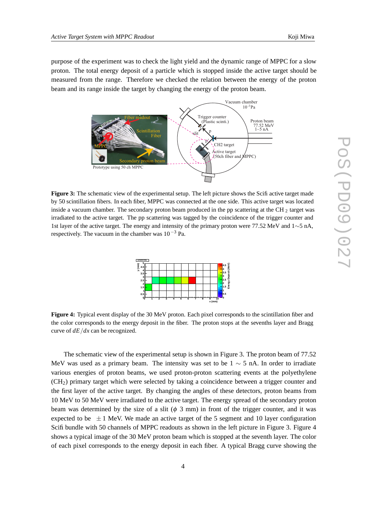purpose of the experiment was to check the light yield and the dynamic range of MPPC for a slow proton. The total energy deposit of a particle which is stopped inside the active target should be measured from the range. Therefore we checked the relation between the energy of the proton beam and its range inside the target by changing the energy of the proton beam.



**Figure 3:** The schematic view of the experimental setup. The left picture shows the Scifi active target made by 50 scintillation fibers. In each fiber, MPPC was connected at the one side. This active target was located inside a vacuum chamber. The secondary proton beam produced in the pp scattering at the CH  $_2$  target was irradiated to the active target. The pp scattering was tagged by the coincidence of the trigger counter and 1st layer of the active target. The energy and intensity of the primary proton were 77.52 MeV and 1∼5 nA, respectively. The vacuum in the chamber was  $10^{-3}$  Pa.



**Figure 4:** Typical event display of the 30 MeV proton. Each pixel corresponds to the scintillation fiber and the color corresponds to the energy deposit in the fiber. The proton stops at the sevenths layer and Bragg curve of *dE/dx* can be recognized.

The schematic view of the experimental setup is shown in Figure 3. The proton beam of 77.52 MeV was used as a primary beam. The intensity was set to be  $1 \sim 5$  nA. In order to irradiate various energies of proton beams, we used proton-proton scattering events at the polyethylene (CH2) primary target which were selected by taking a coincidence between a trigger counter and the first layer of the active target. By changing the angles of these detectors, proton beams from 10 MeV to 50 MeV were irradiated to the active target. The energy spread of the secondary proton beam was determined by the size of a slit ( $\phi$  3 mm) in front of the trigger counter, and it was expected to be  $\pm 1$  MeV. We made an active target of the 5 segment and 10 layer configuration Scifi bundle with 50 channels of MPPC readouts as shown in the left picture in Figure 3. Figure 4 shows a typical image of the 30 MeV proton beam which is stopped at the seventh layer. The color of each pixel corresponds to the energy deposit in each fiber. A typical Bragg curve showing the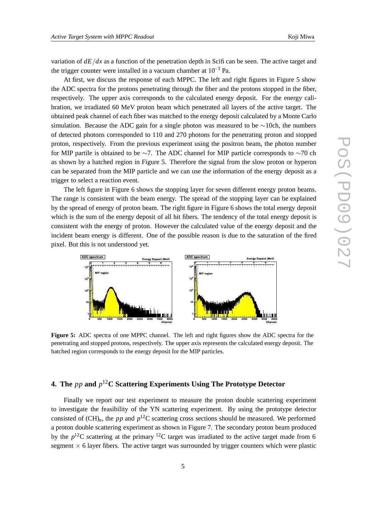variation of  $dE/dx$  as a function of the penetration depth in Scifi can be seen. The active target and the trigger counter were installed in a vacuum chamber at  $10^{-3}$  Pa.

At first, we discuss the response of each MPPC. The left and right figures in Figure 5 show the ADC spectra for the protons penetrating through the fiber and the protons stopped in the fiber, respectively. The upper axis corresponds to the calculated energy deposit. For the energy calibration, we irradiated 60 MeV proton beam which penetrated all layers of the active target. The obtained peak channel of each fiber was matched to the energy deposit calculated by a Monte Carlo simulation. Because the ADC gain for a single photon was measured to be  $\sim$ 10ch, the numbers of detected photons corresponded to 110 and 270 photons for the penetrating proton and stopped proton, respectively. From the previous experiment using the positron beam, the photon number for MIP partile is obtained to be ∼7. The ADC channel for MIP particle corresponds to ∼70 ch as shown by a hatched region in Figure 5. Therefore the signal from the slow proton or hyperon can be separated from the MIP particle and we can use the information of the energy deposit as a trigger to select a reaction event.

The left figure in Figure 6 shows the stopping layer for seven different energy proton beams. The range is consistent with the beam energy. The spread of the stopping layer can be explained by the spread of energy of proton beam. The right figure in Figure 6 shows the total energy deposit which is the sum of the energy deposit of all hit fibers. The tendency of the total energy deposit is consistent with the energy of proton. However the calculated value of the energy deposit and the incident beam energy is different. One of the possible reason is due to the saturation of the fired pixel. But this is not understood yet.



**Figure 5:** ADC spectra of one MPPC channel. The left and right figures show the ADC spectra for the penetrating and stopped protons, respectively. The upper axis represents the calculated energy deposit. The hatched region corresponds to the energy deposit for the MIP particles.

# **4. The** *pp* **and** *p*12**C Scattering Experiments Using The Prototype Detector**

Finally we report our test experiment to measure the proton double scattering experiment to investigate the feasibility of the YN scattering experiment. By using the prototype detector consisted of  $(CH)_n$ , the *pp* and  $p^{12}C$  scattering cross sections should be measured. We performed a proton double scattering experiment as shown in Figure 7. The secondary proton beam produced by the  $p^{12}$ C scattering at the primary <sup>12</sup>C target was irradiated to the active target made from 6 segment  $\times$  6 layer fibers. The active target was surrounded by trigger counters which were plastic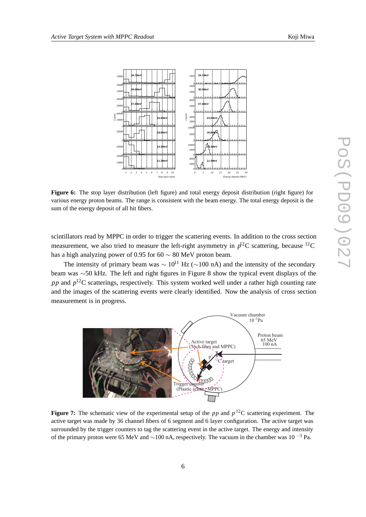

**Figure 6:** The stop layer distribution (left figure) and total energy deposit distribution (right figure) for various energy proton beams. The range is consistent with the beam energy. The total energy deposit is the sum of the energy deposit of all hit fibers.

scintillators read by MPPC in order to trigger the scattering events. In addition to the cross section measurement, we also tried to measure the left-right asymmetry in  $p^{12}$ C scattering, because <sup>12</sup>C has a high analyzing power of 0.95 for 60  $\sim$  80 MeV proton beam.

The intensity of primary beam was  $\sim 10^{11}$  Hz ( $\sim$ 100 nA) and the intensity of the secondary beam was ∼50 kHz. The left and right figures in Figure 8 show the typical event displays of the *pp* and  $p^{12}$ C scatterings, respectively. This system worked well under a rather high counting rate and the images of the scattering events were clearly identified. Now the analysis of cross section measurement is in progress.



**Figure 7:** The schematic view of the experimental setup of the  $pp$  and  $p^{12}C$  scattering experiment. The active target was made by 36 channel fibers of 6 segment and 6 layer configuration. The active target was surrounded by the trigger counters to tag the scattering event in the active target. The energy and intensity of the primary proton were 65 MeV and  $\sim$ 100 nA, respectively. The vacuum in the chamber was 10<sup>-3</sup> Pa.